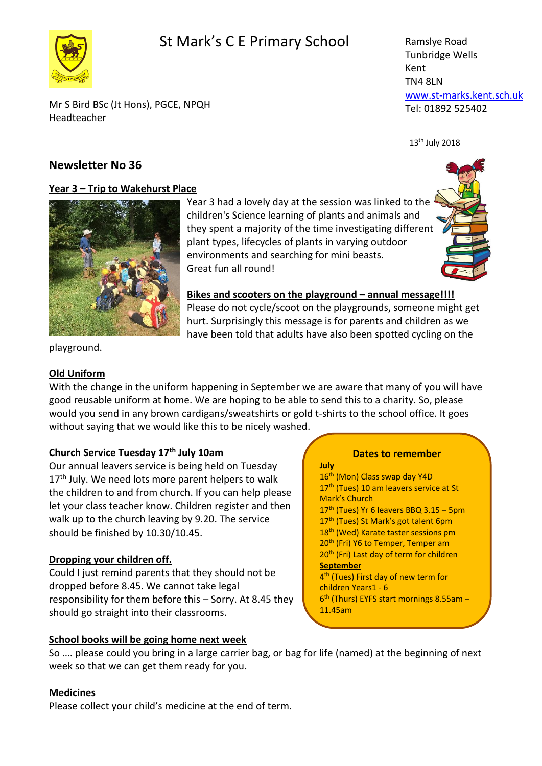## St Mark's C E Primary School



Ramslye Road Tunbridge Wells Kent TN4 8LN [www.st-marks.kent.sch.uk](http://www.st-marks.kent.sch.uk/) Tel: 01892 525402

Mr S Bird BSc (Jt Hons), PGCE, NPQH Headteacher

## **Newsletter No 36**

### **Year 3 – Trip to Wakehurst Place**



Year 3 had a lovely day at the session was linked to the children's Science learning of plants and animals and they spent a majority of the time investigating different plant types, lifecycles of plants in varying outdoor environments and searching for mini beasts. Great fun all round!



 $13<sup>th</sup>$  July 2018

Bikes and scooters on the playground - annual message!!!!

**July**

Please do not cycle/scoot on the playgrounds, someone might get hurt. Surprisingly this message is for parents and children as we have been told that adults have also been spotted cycling on the

playground.

## **Old Uniform**

With the change in the uniform happening in September we are aware that many of you will have good reusable uniform at home. We are hoping to be able to send this to a charity. So, please would you send in any brown cardigans/sweatshirts or gold t-shirts to the school office. It goes without saying that we would like this to be nicely washed.

## **Church Service Tuesday 17th July 10am**

Our annual leavers service is being held on Tuesday  $17<sup>th</sup>$  July. We need lots more parent helpers to walk the children to and from church. If you can help please let your class teacher know. Children register and then walk up to the church leaving by 9.20. The service should be finished by 10.30/10.45.

## **Dropping your children off.**

Could I just remind parents that they should not be dropped before 8.45. We cannot take legal responsibility for them before this – Sorry. At 8.45 they should go straight into their classrooms.

## **School books will be going home next week**

# **Dates to remember**

16<sup>th</sup> (Mon) Class swap day Y4D 17<sup>th</sup> (Tues) 10 am leavers service at St Mark's Church  $17<sup>th</sup>$  (Tues) Yr 6 leavers BBQ 3.15 – 5pm 17<sup>th</sup> (Tues) St Mark's got talent 6pm 18<sup>th</sup> (Wed) Karate taster sessions pm 20<sup>th</sup> (Fri) Y6 to Temper, Temper am 20<sup>th</sup> (Fri) Last day of term for children **September** 4<sup>th</sup> (Tues) First day of new term for children Years1 - 6 6<sup>th</sup> (Thurs) EYFS start mornings 8.55am -11.45am

So …. please could you bring in a large carrier bag, or bag for life (named) at the beginning of next week so that we can get them ready for you.

## **Medicines**

Please collect your child's medicine at the end of term.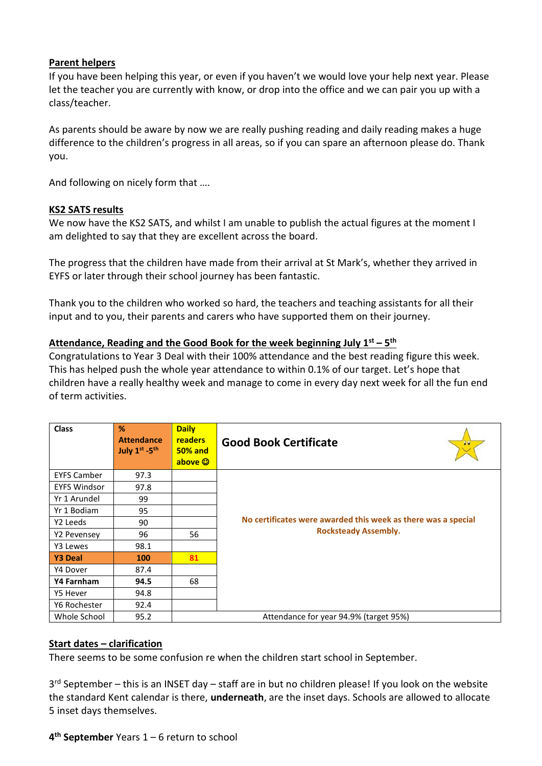### **Parent helpers**

If you have been helping this year, or even if you haven't we would love your help next year. Please let the teacher you are currently with know, or drop into the office and we can pair you up with a class/teacher.

As parents should be aware by now we are really pushing reading and daily reading makes a huge difference to the children's progress in all areas, so if you can spare an afternoon please do. Thank you.

And following on nicely form that ….

#### **KS2 SATS results**

We now have the KS2 SATS, and whilst I am unable to publish the actual figures at the moment I am delighted to say that they are excellent across the board.

The progress that the children have made from their arrival at St Mark's, whether they arrived in EYFS or later through their school journey has been fantastic.

Thank you to the children who worked so hard, the teachers and teaching assistants for all their input and to you, their parents and carers who have supported them on their journey.

### **Attendance, Reading and the Good Book for the week beginning July 1st – 5 th**

Congratulations to Year 3 Deal with their 100% attendance and the best reading figure this week. This has helped push the whole year attendance to within 0.1% of our target. Let's hope that children have a really healthy week and manage to come in every day next week for all the fun end of term activities.

| <b>Class</b>        | %<br><b>Attendance</b><br>July 1st -5th | <b>Daily</b><br><b>readers</b><br><b>50% and</b><br>above © | <b>Good Book Certificate</b>                                                                 |
|---------------------|-----------------------------------------|-------------------------------------------------------------|----------------------------------------------------------------------------------------------|
| <b>EYFS Camber</b>  | 97.3                                    |                                                             | No certificates were awarded this week as there was a special<br><b>Rocksteady Assembly.</b> |
| <b>EYFS Windsor</b> | 97.8                                    |                                                             |                                                                                              |
| Yr 1 Arundel        | 99                                      |                                                             |                                                                                              |
| Yr 1 Bodiam         | 95                                      |                                                             |                                                                                              |
| Y2 Leeds            | 90                                      |                                                             |                                                                                              |
| Y2 Pevensey         | 96                                      | 56                                                          |                                                                                              |
| Y3 Lewes            | 98.1                                    |                                                             |                                                                                              |
| <b>Y3 Deal</b>      | 100                                     | 81                                                          |                                                                                              |
| Y4 Dover            | 87.4                                    |                                                             |                                                                                              |
| Y4 Farnham          | 94.5                                    | 68                                                          |                                                                                              |
| Y5 Hever            | 94.8                                    |                                                             |                                                                                              |
| Y6 Rochester        | 92.4                                    |                                                             |                                                                                              |
| Whole School        | 95.2                                    |                                                             | Attendance for year 94.9% (target 95%)                                                       |

### **Start dates – clarification**

There seems to be some confusion re when the children start school in September.

3<sup>rd</sup> September – this is an INSET day – staff are in but no children please! If you look on the website the standard Kent calendar is there, **underneath**, are the inset days. Schools are allowed to allocate 5 inset days themselves.

### **4 th September** Years 1 – 6 return to school